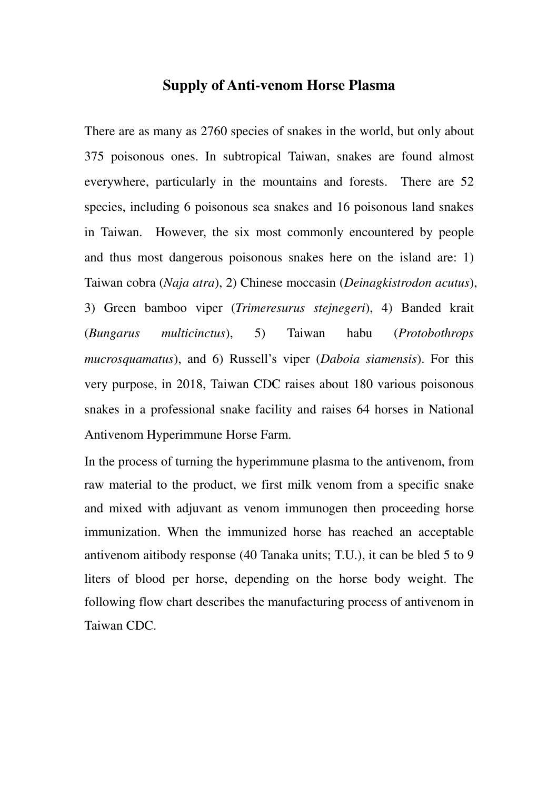## **Supply of Anti-venom Horse Plasma**

There are as many as 2760 species of snakes in the world, but only about 375 poisonous ones. In subtropical Taiwan, snakes are found almost everywhere, particularly in the mountains and forests. There are 52 species, including 6 poisonous sea snakes and 16 poisonous land snakes in Taiwan. However, the six most commonly encountered by people and thus most dangerous poisonous snakes here on the island are: 1) Taiwan cobra (*Naja atra*), 2) Chinese moccasin (*Deinagkistrodon acutus*), 3) Green bamboo viper (*Trimeresurus stejnegeri*), 4) Banded krait (*Bungarus multicinctus*), 5) Taiwan habu (*Protobothrops mucrosquamatus*), and 6) Russell's viper (*Daboia siamensis*). For this very purpose, in 2018, Taiwan CDC raises about 180 various poisonous snakes in a professional snake facility and raises 64 horses in National Antivenom Hyperimmune Horse Farm.

In the process of turning the hyperimmune plasma to the antivenom, from raw material to the product, we first milk venom from a specific snake and mixed with adjuvant as venom immunogen then proceeding horse immunization. When the immunized horse has reached an acceptable antivenom aitibody response (40 Tanaka units; T.U.), it can be bled 5 to 9 liters of blood per horse, depending on the horse body weight. The following flow chart describes the manufacturing process of antivenom in Taiwan CDC.